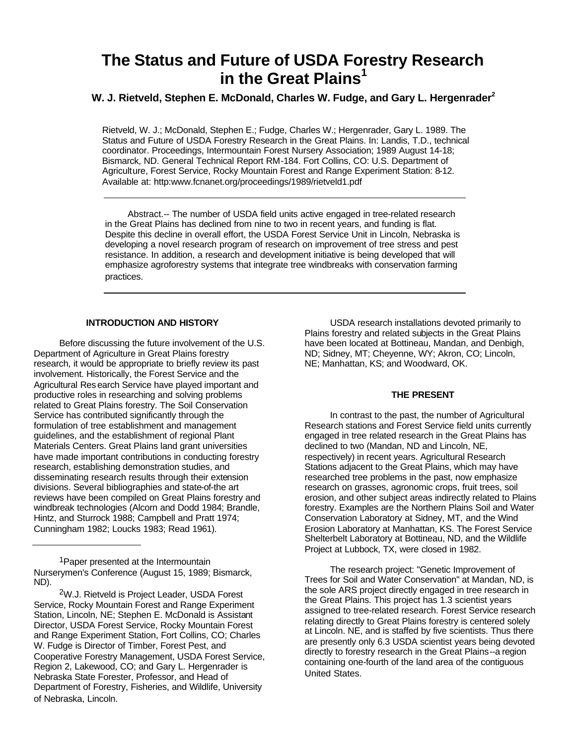# **The Status and Future of USDA Forestry Research in the Great Plains<sup>1</sup>**

## **W. J. Rietveld, Stephen E. McDonald, Charles W. Fudge, and Gary L. Hergenrader<sup>2</sup>**

Rietveld, W. J.; McDonald, Stephen E.; Fudge, Charles W.; Hergenrader, Gary L. 1989. The Status and Future of USDA Forestry Research in the Great Plains. In: Landis, T.D., technical coordinator. Proceedings, Intermountain Forest Nursery Association; 1989 August 14-18; Bismarck, ND. General Technical Report RM-184. Fort Collins, CO: U.S. Department of Agriculture, Forest Service, Rocky Mountain Forest and Range Experiment Station: 8-12. Available at: http:www.fcnanet.org/proceedings/1989/rietveld1.pdf

Abstract.-- The number of USDA field units active engaged in tree-related research in the Great Plains has declined from nine to two in recent years, and funding is flat. Despite this decline in overall effort, the USDA Forest Service Unit in Lincoln, Nebraska is developing a novel research program of research on improvement of tree stress and pest resistance. In addition, a research and development initiative is being developed that will emphasize agroforestry systems that integrate tree windbreaks with conservation farming practices.

#### **INTRODUCTION AND HISTORY**

Before discussing the future involvement of the U.S. Department of Agriculture in Great Plains forestry research, it would be appropriate to briefly review its past involvement. Historically, the Forest Service and the Agricultural Research Service have played important and productive roles in researching and solving problems related to Great Plains forestry. The Soil Conservation Service has contributed significantly through the formulation of tree establishment and management guidelines, and the establishment of regional Plant Materials Centers. Great Plains land grant universities have made important contributions in conducting forestry research, establishing demonstration studies, and disseminating research results through their extension divisions. Several bibliographies and state-of-the art reviews have been compiled on Great Plains forestry and windbreak technologies (Alcorn and Dodd 1984; Brandle, Hintz, and Sturrock 1988; Campbell and Pratt 1974; Cunningham 1982; Loucks 1983; Read 1961).

<sup>1</sup> Paper presented at the Intermountain Nurserymen's Conference (August 15, 1989; Bismarck, ND).

2W.J. Rietveld is Project Leader, USDA Forest Service, Rocky Mountain Forest and Range Experiment Station, Lincoln, NE; Stephen E. McDonald is Assistant Director, USDA Forest Service, Rocky Mountain Forest and Range Experiment Station, Fort Collins, CO; Charles W. Fudge is Director of Timber, Forest Pest, and Cooperative Forestry Management, USDA Forest Service, Region 2, Lakewood, CO; and Gary L. Hergenrader is Nebraska State Forester, Professor, and Head of Department of Forestry, Fisheries, and Wildlife, University of Nebraska, Lincoln.

USDA research installations devoted primarily to Plains forestry and related subjects in the Great Plains have been located at Bottineau, Mandan, and Denbigh, ND; Sidney, MT; Cheyenne, WY; Akron, CO; Lincoln, NE; Manhattan, KS; and Woodward, OK.

#### **THE PRESENT**

In contrast to the past, the number of Agricultural Research stations and Forest Service field units currently engaged in tree related research in the Great Plains has declined to two (Mandan, ND and Lincoln, NE, respectively) in recent years. Agricultural Research Stations adjacent to the Great Plains, which may have researched tree problems in the past, now emphasize research on grasses, agronomic crops, fruit trees, soil erosion, and other subject areas indirectly related to Plains forestry. Examples are the Northern Plains Soil and Water Conservation Laboratory at Sidney, MT, and the Wind Erosion Laboratory at Manhattan, KS. The Forest Service Shelterbelt Laboratory at Bottineau, ND, and the Wildlife Project at Lubbock, TX, were closed in 1982.

The research project: "Genetic Improvement of Trees for Soil and Water Conservation" at Mandan, ND, is the sole ARS project directly engaged in tree research in the Great Plains. This project has 1.3 scientist years assigned to tree-related research. Forest Service research relating directly to Great Plains forestry is centered solely at Lincoln. NE, and is staffed by five scientists. Thus there are presently only 6.3 USDA scientist years being devoted directly to forestry research in the Great Plains--a region containing one-fourth of the land area of the contiguous United States.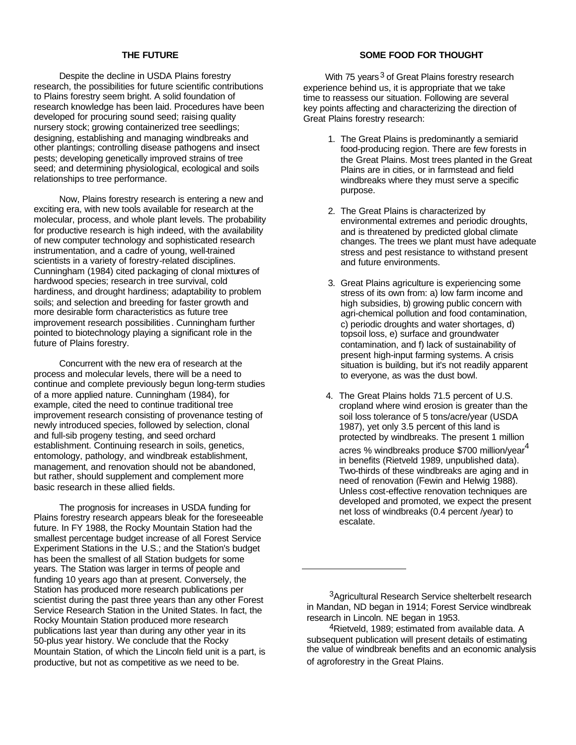#### **THE FUTURE**

Despite the decline in USDA Plains forestry research, the possibilities for future scientific contributions to Plains forestry seem bright. A solid foundation of research knowledge has been laid. Procedures have been developed for procuring sound seed; raising quality nursery stock; growing containerized tree seedlings; designing, establishing and managing windbreaks and other plantings; controlling disease pathogens and insect pests; developing genetically improved strains of tree seed; and determining physiological, ecological and soils relationships to tree performance.

Now, Plains forestry research is entering a new and exciting era, with new tools available for research at the molecular, process, and whole plant levels. The probability for productive research is high indeed, with the availability of new computer technology and sophisticated research instrumentation, and a cadre of young, well-trained scientists in a variety of forestry-related disciplines. Cunningham (1984) cited packaging of clonal mixtures of hardwood species; research in tree survival, cold hardiness, and drought hardiness; adaptability to problem soils; and selection and breeding for faster growth and more desirable form characteristics as future tree improvement research possibilities . Cunningham further pointed to biotechnology playing a significant role in the future of Plains forestry.

Concurrent with the new era of research at the process and molecular levels, there will be a need to continue and complete previously begun long-term studies of a more applied nature. Cunningham (1984), for example, cited the need to continue traditional tree improvement research consisting of provenance testing of newly introduced species, followed by selection, clonal and full-sib progeny testing, and seed orchard establishment. Continuing research in soils, genetics, entomology, pathology, and windbreak establishment, management, and renovation should not be abandoned, but rather, should supplement and complement more basic research in these allied fields.

The prognosis for increases in USDA funding for Plains forestry research appears bleak for the foreseeable future. In FY 1988, the Rocky Mountain Station had the smallest percentage budget increase of all Forest Service Experiment Stations in the U.S.; and the Station's budget has been the smallest of all Station budgets for some years. The Station was larger in terms of people and funding 10 years ago than at present. Conversely, the Station has produced more research publications per scientist during the past three years than any other Forest Service Research Station in the United States. In fact, the Rocky Mountain Station produced more research publications last year than during any other year in its 50-plus year history. We conclude that the Rocky Mountain Station, of which the Lincoln field unit is a part, is productive, but not as competitive as we need to be.

### **SOME FOOD FOR THOUGHT**

With 75 years<sup>3</sup> of Great Plains forestry research experience behind us, it is appropriate that we take time to reassess our situation. Following are several key points affecting and characterizing the direction of Great Plains forestry research:

- 1. The Great Plains is predominantly a semiarid food-producing region. There are few forests in the Great Plains. Most trees planted in the Great Plains are in cities, or in farmstead and field windbreaks where they must serve a specific purpose.
- 2. The Great Plains is characterized by environmental extremes and periodic droughts, and is threatened by predicted global climate changes. The trees we plant must have adequate stress and pest resistance to withstand present and future environments.
- 3. Great Plains agriculture is experiencing some stress of its own from: a) low farm income and high subsidies, b) growing public concern with agri-chemical pollution and food contamination, c) periodic droughts and water shortages, d) topsoil loss, e) surface and groundwater contamination, and f) lack of sustainability of present high-input farming systems. A crisis situation is building, but it's not readily apparent to everyone, as was the dust bowl.
- 4. The Great Plains holds 71.5 percent of U.S. cropland where wind erosion is greater than the soil loss tolerance of 5 tons/acre/year (USDA 1987), yet only 3.5 percent of this land is protected by windbreaks. The present 1 million acres % windbreaks produce \$700 million/year<sup>4</sup> in benefits (Rietveld 1989, unpublished data). Two-thirds of these windbreaks are aging and in need of renovation (Fewin and Helwig 1988). Unless cost-effective renovation techniques are developed and promoted, we expect the present net loss of windbreaks (0.4 percent /year) to escalate.

<sup>&</sup>lt;sup>3</sup>Agricultural Research Service shelterbelt research in Mandan, ND began in 1914; Forest Service windbreak research in Lincoln. NE began in 1953.

<sup>4</sup>Rietveld, 1989; estimated from available data. A subsequent publication will present details of estimating the value of windbreak benefits and an economic analysis of agroforestry in the Great Plains.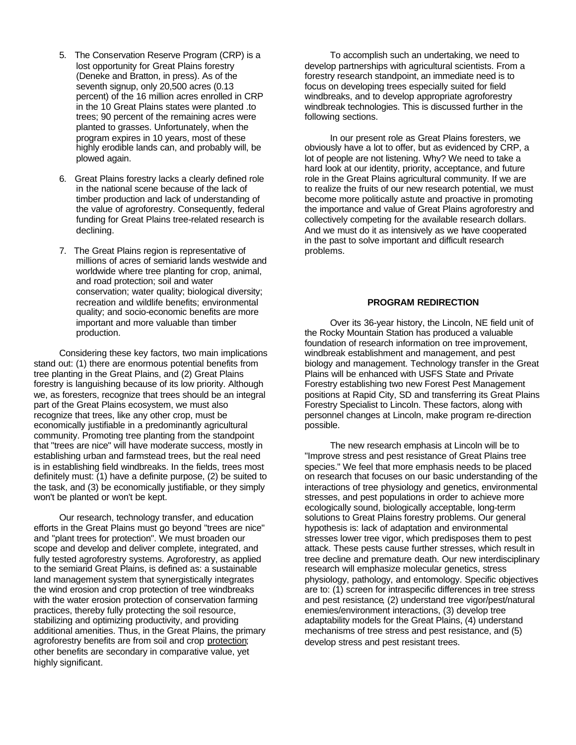- 5. The Conservation Reserve Program (CRP) is a lost opportunity for Great Plains forestry (Deneke and Bratton, in press). As of the seventh signup, only 20,500 acres (0.13 percent) of the 16 million acres enrolled in CRP in the 10 Great Plains states were planted .to trees; 90 percent of the remaining acres were planted to grasses. Unfortunately, when the program expires in 10 years, most of these highly erodible lands can, and probably will, be plowed again.
- 6. Great Plains forestry lacks a clearly defined role in the national scene because of the lack of timber production and lack of understanding of the value of agroforestry. Consequently, federal funding for Great Plains tree-related research is declining.
- 7. The Great Plains region is representative of millions of acres of semiarid lands westwide and worldwide where tree planting for crop, animal, and road protection; soil and water conservation; water quality; biological diversity; recreation and wildlife benefits; environmental quality; and socio-economic benefits are more important and more valuable than timber production.

Considering these key factors, two main implications stand out: (1) there are enormous potential benefits from tree planting in the Great Plains, and (2) Great Plains forestry is languishing because of its low priority. Although we, as foresters, recognize that trees should be an integral part of the Great Plains ecosystem, we must also recognize that trees, like any other crop, must be economically justifiable in a predominantly agricultural community. Promoting tree planting from the standpoint that "trees are nice" will have moderate success, mostly in establishing urban and farmstead trees, but the real need is in establishing field windbreaks. In the fields, trees most definitely must: (1) have a definite purpose, (2) be suited to the task, and (3) be economically justifiable, or they simply won't be planted or won't be kept.

Our research, technology transfer, and education efforts in the Great Plains must go beyond "trees are nice" and "plant trees for protection". We must broaden our scope and develop and deliver complete, integrated, and fully tested agroforestry systems. Agroforestry, as applied to the semiarid Great Plains, is defined as: a sustainable land management system that synergistically integrates the wind erosion and crop protection of tree windbreaks with the water erosion protection of conservation farming practices, thereby fully protecting the soil resource, stabilizing and optimizing productivity, and providing additional amenities. Thus, in the Great Plains, the primary agroforestry benefits are from soil and crop protection; other benefits are secondary in comparative value, yet highly significant.

To accomplish such an undertaking, we need to develop partnerships with agricultural scientists. From a forestry research standpoint, an immediate need is to focus on developing trees especially suited for field windbreaks, and to develop appropriate agroforestry windbreak technologies. This is discussed further in the following sections.

In our present role as Great Plains foresters, we obviously have a lot to offer, but as evidenced by CRP, a lot of people are not listening. Why? We need to take a hard look at our identity, priority, acceptance, and future role in the Great Plains agricultural community. If we are to realize the fruits of our new research potential, we must become more politically astute and proactive in promoting the importance and value of Great Plains agroforestry and collectively competing for the available research dollars. And we must do it as intensively as we have cooperated in the past to solve important and difficult research problems.

#### **PROGRAM REDIRECTION**

Over its 36-year history, the Lincoln, NE field unit of the Rocky Mountain Station has produced a valuable foundation of research information on tree improvement, windbreak establishment and management, and pest biology and management. Technology transfer in the Great Plains will be enhanced with USFS State and Private Forestry establishing two new Forest Pest Management positions at Rapid City, SD and transferring its Great Plains Forestry Specialist to Lincoln. These factors, along with personnel changes at Lincoln, make program re-direction possible.

The new research emphasis at Lincoln will be to "Improve stress and pest resistance of Great Plains tree species." We feel that more emphasis needs to be placed on research that focuses on our basic understanding of the interactions of tree physiology and genetics, environmental stresses, and pest populations in order to achieve more ecologically sound, biologically acceptable, long-term solutions to Great Plains forestry problems. Our general hypothesis is: lack of adaptation and environmental stresses lower tree vigor, which predisposes them to pest attack. These pests cause further stresses, which result in tree decline and premature death. Our new interdisciplinary research will emphasize molecular genetics, stress physiology, pathology, and entomology. Specific objectives are to: (1) screen for intraspecific differences in tree stress and pest resistance, (2) understand tree vigor/pest/natural enemies/environment interactions, (3) develop tree adaptability models for the Great Plains, (4) understand mechanisms of tree stress and pest resistance, and (5) develop stress and pest resistant trees.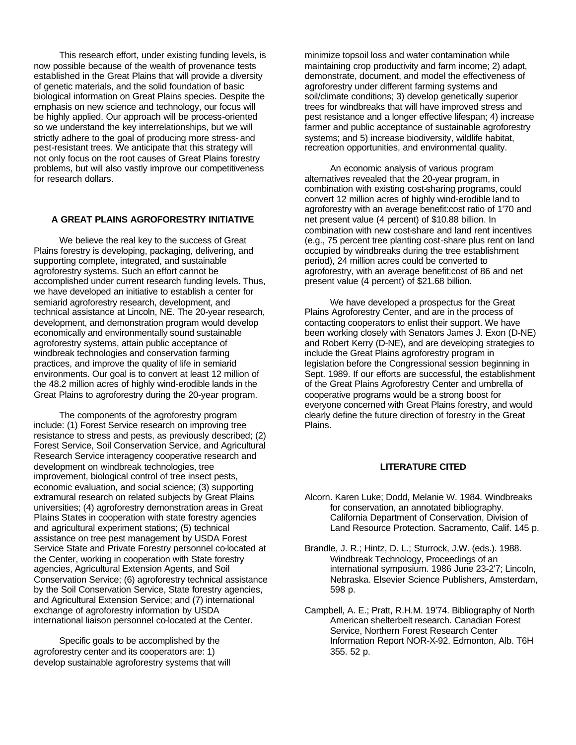This research effort, under existing funding levels, is now possible because of the wealth of provenance tests established in the Great Plains that will provide a diversity of genetic materials, and the solid foundation of basic biological information on Great Plains species. Despite the emphasis on new science and technology, our focus will be highly applied. Our approach will be process-oriented so we understand the key interrelationships, but we will strictly adhere to the goal of producing more stress- and pest-resistant trees. We anticipate that this strategy will not only focus on the root causes of Great Plains forestry problems, but will also vastly improve our competitiveness for research dollars.

#### **A GREAT PLAINS AGROFORESTRY INITIATIVE**

We believe the real key to the success of Great Plains forestry is developing, packaging, delivering, and supporting complete, integrated, and sustainable agroforestry systems. Such an effort cannot be accomplished under current research funding levels. Thus, we have developed an initiative to establish a center for semiarid agroforestry research, development, and technical assistance at Lincoln, NE. The 20-year research, development, and demonstration program would develop economically and environmentally sound sustainable agroforestry systems, attain public acceptance of windbreak technologies and conservation farming practices, and improve the quality of life in semiarid environments. Our goal is to convert at least 12 million of the 48.2 million acres of highly wind-erodible lands in the Great Plains to agroforestry during the 20-year program.

The components of the agroforestry program include: (1) Forest Service research on improving tree resistance to stress and pests, as previously described; (2) Forest Service, Soil Conservation Service, and Agricultural Research Service interagency cooperative research and development on windbreak technologies, tree improvement, biological control of tree insect pests, economic evaluation, and social science; (3) supporting extramural research on related subjects by Great Plains universities; (4) agroforestry demonstration areas in Great Plains States in cooperation with state forestry agencies and agricultural experiment stations; (5) technical assistance on tree pest management by USDA Forest Service State and Private Forestry personnel co-located at the Center, working in cooperation with State forestry agencies, Agricultural Extension Agents, and Soil Conservation Service; (6) agroforestry technical assistance by the Soil Conservation Service, State forestry agencies, and Agricultural Extension Service; and (7) international exchange of agroforestry information by USDA international liaison personnel co-located at the Center.

Specific goals to be accomplished by the agroforestry center and its cooperators are: 1) develop sustainable agroforestry systems that will minimize topsoil loss and water contamination while maintaining crop productivity and farm income; 2) adapt, demonstrate, document, and model the effectiveness of agroforestry under different farming systems and soil/climate conditions; 3) develop genetically superior trees for windbreaks that will have improved stress and pest resistance and a longer effective lifespan; 4) increase farmer and public acceptance of sustainable agroforestry systems; and 5) increase biodiversity, wildlife habitat, recreation opportunities, and environmental quality.

An economic analysis of various program alternatives revealed that the 20-year program, in combination with existing cost-sharing programs, could convert 12 million acres of highly wind-erodible land to agroforestry with an average benefit:cost ratio of 1'70 and net present value (4 percent) of \$10.88 billion. In combination with new cost-share and land rent incentives (e.g., 75 percent tree planting cost-share plus rent on land occupied by windbreaks during the tree establishment period), 24 million acres could be converted to agroforestry, with an average benefit:cost of 86 and net present value (4 percent) of \$21.68 billion.

We have developed a prospectus for the Great Plains Agroforestry Center, and are in the process of contacting cooperators to enlist their support. We have been working closely with Senators James J. Exon (D-NE) and Robert Kerry (D-NE), and are developing strategies to include the Great Plains agroforestry program in legislation before the Congressional session beginning in Sept. 1989. If our efforts are successful, the establishment of the Great Plains Agroforestry Center and umbrella of cooperative programs would be a strong boost for everyone concerned with Great Plains forestry, and would clearly define the future direction of forestry in the Great Plains.

#### **LITERATURE CITED**

- Alcorn. Karen Luke; Dodd, Melanie W. 1984. Windbreaks for conservation, an annotated bibliography. California Department of Conservation, Division of Land Resource Protection. Sacramento, Calif. 145 p.
- Brandle, J. R.; Hintz, D. L.; Sturrock, J.W. (eds.). 1988. Windbreak Technology, Proceedings of an international symposium. 1986 June 23-2'7; Lincoln, Nebraska. Elsevier Science Publishers, Amsterdam, 598 p.
- Campbell, A. E.; Pratt, R.H.M. 19'74. Bibliography of North American shelterbelt research. Canadian Forest Service, Northern Forest Research Center Information Report NOR-X-92. Edmonton, Alb. T6H 355. 52 p.